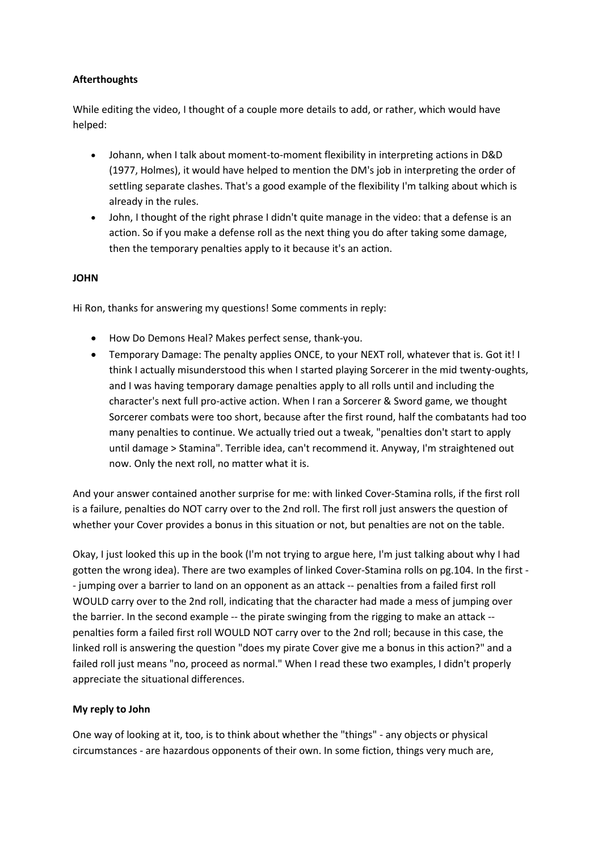## **Afterthoughts**

While editing the video, I thought of a couple more details to add, or rather, which would have helped:

- Johann, when I talk about moment-to-moment flexibility in interpreting actions in D&D (1977, Holmes), it would have helped to mention the DM's job in interpreting the order of settling separate clashes. That's a good example of the flexibility I'm talking about which is already in the rules.
- John, I thought of the right phrase I didn't quite manage in the video: that a defense is an action. So if you make a defense roll as the next thing you do after taking some damage, then the temporary penalties apply to it because it's an action.

## **JOHN**

Hi Ron, thanks for answering my questions! Some comments in reply:

- How Do Demons Heal? Makes perfect sense, thank-you.
- Temporary Damage: The penalty applies ONCE, to your NEXT roll, whatever that is. Got it! I think I actually misunderstood this when I started playing Sorcerer in the mid twenty-oughts, and I was having temporary damage penalties apply to all rolls until and including the character's next full pro-active action. When I ran a Sorcerer & Sword game, we thought Sorcerer combats were too short, because after the first round, half the combatants had too many penalties to continue. We actually tried out a tweak, "penalties don't start to apply until damage > Stamina". Terrible idea, can't recommend it. Anyway, I'm straightened out now. Only the next roll, no matter what it is.

And your answer contained another surprise for me: with linked Cover-Stamina rolls, if the first roll is a failure, penalties do NOT carry over to the 2nd roll. The first roll just answers the question of whether your Cover provides a bonus in this situation or not, but penalties are not on the table.

Okay, I just looked this up in the book (I'm not trying to argue here, I'm just talking about why I had gotten the wrong idea). There are two examples of linked Cover-Stamina rolls on pg.104. In the first - - jumping over a barrier to land on an opponent as an attack -- penalties from a failed first roll WOULD carry over to the 2nd roll, indicating that the character had made a mess of jumping over the barrier. In the second example -- the pirate swinging from the rigging to make an attack -penalties form a failed first roll WOULD NOT carry over to the 2nd roll; because in this case, the linked roll is answering the question "does my pirate Cover give me a bonus in this action?" and a failed roll just means "no, proceed as normal." When I read these two examples, I didn't properly appreciate the situational differences.

## **My reply to John**

One way of looking at it, too, is to think about whether the "things" - any objects or physical circumstances - are hazardous opponents of their own. In some fiction, things very much are,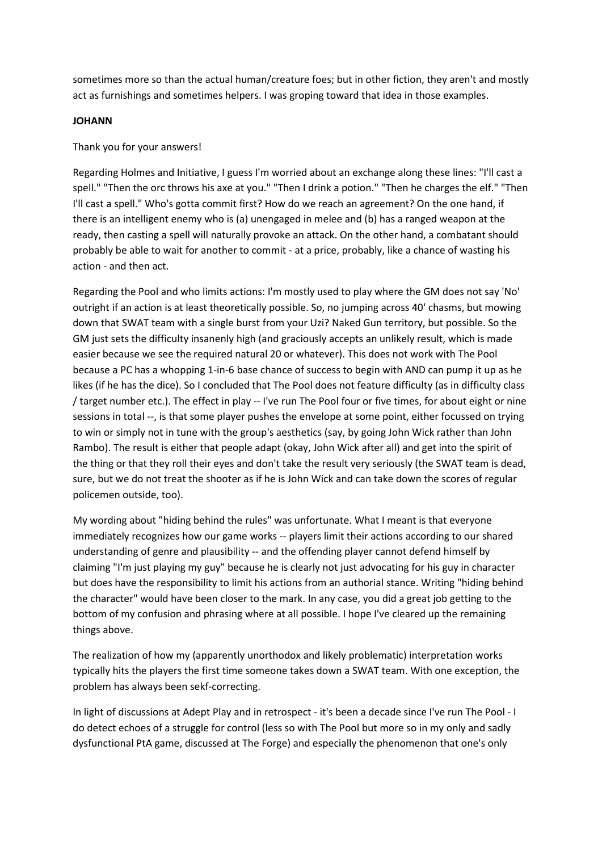sometimes more so than the actual human/creature foes; but in other fiction, they aren't and mostly act as furnishings and sometimes helpers. I was groping toward that idea in those examples.

#### **JOHANN**

Thank you for your answers!

Regarding Holmes and Initiative, I guess I'm worried about an exchange along these lines: "I'll cast a spell." "Then the orc throws his axe at you." "Then I drink a potion." "Then he charges the elf." "Then I'll cast a spell." Who's gotta commit first? How do we reach an agreement? On the one hand, if there is an intelligent enemy who is (a) unengaged in melee and (b) has a ranged weapon at the ready, then casting a spell will naturally provoke an attack. On the other hand, a combatant should probably be able to wait for another to commit - at a price, probably, like a chance of wasting his action - and then act.

Regarding the Pool and who limits actions: I'm mostly used to play where the GM does not say 'No' outright if an action is at least theoretically possible. So, no jumping across 40' chasms, but mowing down that SWAT team with a single burst from your Uzi? Naked Gun territory, but possible. So the GM just sets the difficulty insanenly high (and graciously accepts an unlikely result, which is made easier because we see the required natural 20 or whatever). This does not work with The Pool because a PC has a whopping 1-in-6 base chance of success to begin with AND can pump it up as he likes (if he has the dice). So I concluded that The Pool does not feature difficulty (as in difficulty class / target number etc.). The effect in play -- I've run The Pool four or five times, for about eight or nine sessions in total --, is that some player pushes the envelope at some point, either focussed on trying to win or simply not in tune with the group's aesthetics (say, by going John Wick rather than John Rambo). The result is either that people adapt (okay, John Wick after all) and get into the spirit of the thing or that they roll their eyes and don't take the result very seriously (the SWAT team is dead, sure, but we do not treat the shooter as if he is John Wick and can take down the scores of regular policemen outside, too).

My wording about "hiding behind the rules" was unfortunate. What I meant is that everyone immediately recognizes how our game works -- players limit their actions according to our shared understanding of genre and plausibility -- and the offending player cannot defend himself by claiming "I'm just playing my guy" because he is clearly not just advocating for his guy in character but does have the responsibility to limit his actions from an authorial stance. Writing "hiding behind the character" would have been closer to the mark. In any case, you did a great job getting to the bottom of my confusion and phrasing where at all possible. I hope I've cleared up the remaining things above.

The realization of how my (apparently unorthodox and likely problematic) interpretation works typically hits the players the first time someone takes down a SWAT team. With one exception, the problem has always been sekf-correcting.

In light of discussions at Adept Play and in retrospect - it's been a decade since I've run The Pool - I do detect echoes of a struggle for control (less so with The Pool but more so in my only and sadly dysfunctional PtA game, discussed at The Forge) and especially the phenomenon that one's only